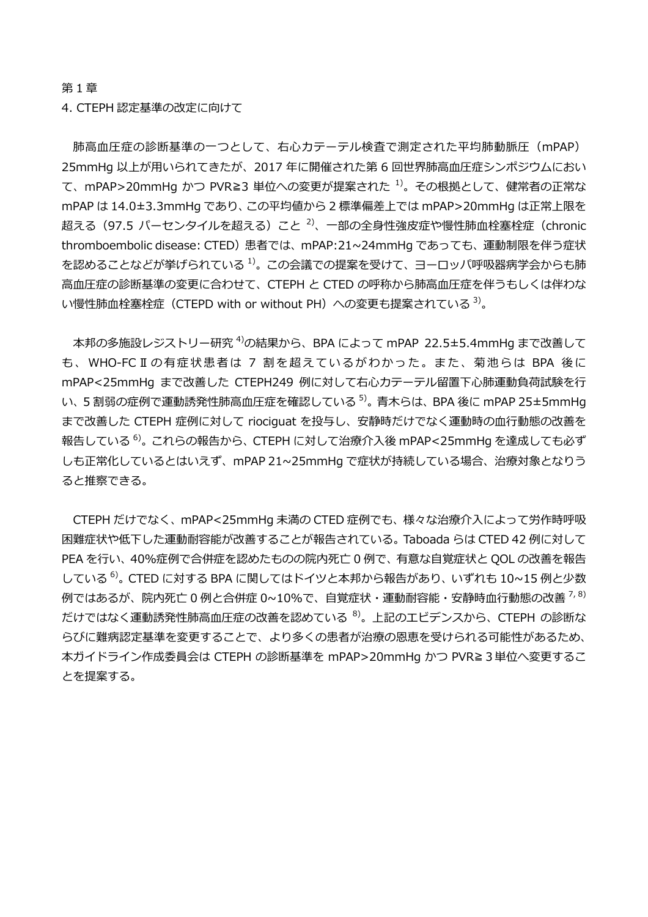第 1 章

4. CTEPH 認定基準の改定に向けて

肺高血圧症の診断基準の一つとして、右心カテーテル検査で測定された平均肺動脈圧 (mPAP) 25mmHg 以上が用いられてきたが、2017 年に開催された第 6 回世界肺高血圧症シンポジウムにおい て、mPAP>20mmHg かつ PVR≧3 単位への変更が提案された <sup>1)</sup>。その根拠として、健常者の正常な mPAP は 14.0±3.3mmHg であり、この平均値から 2 標準偏差上では mPAP>20mmHg は正常上限を 超える(97.5 パーセンタイルを超える)こと <sup>2)</sup>、一部の全身性強皮症や慢性肺血栓塞栓症(chronic thromboembolic disease: CTED)患者では、mPAP:21~24mmHg であっても、運動制限を伴う症状 を認めることなどが挙げられている <sup>1)</sup>。この会議での提案を受けて、ヨーロッパ呼吸器病学会からも肺 高血圧症の診断基準の変更に合わせて、CTEPH と CTED の呼称から肺高血圧症を伴うもしくは伴わな い慢性肺血栓塞栓症(CTEPD with or without PH)への変更も提案されている <sup>3)</sup>。

本邦の多施設レジストリー研究 <sup>4)</sup>の結果から、BPA によって mPAP 22.5±5.4mmHg まで改善して も、WHO-FCⅡの有症状患者は 7 割を超えているがわかった。また、菊池らは BPA 後に mPAP<25mmHg まで改善した CTEPH249 例に対して右心カテーテル留置下心肺運動負荷試験を行 い、5 割弱の症例で運動誘発性肺高血圧症を確認している <sup>5)</sup>。青木らは、BPA 後に mPAP 25±5mmHg まで改善した CTEPH 症例に対して riociguat を投与し、安静時だけでなく運動時の血行動態の改善を 報告している <sup>6)</sup>。これらの報告から、CTEPH に対して治療介入後 mPAP<25mmHg を達成しても必ず しも正常化しているとはいえず、mPAP 21~25mmHg で症状が持続している場合、治療対象となりう ると推察できる。

CTEPH だけでなく、mPAP<25mmHg 未満の CTED 症例でも、様々な治療介入によって労作時呼吸 困難症状や低下した運動耐容能が改善することが報告されている。Taboada らは CTED 42 例に対して PEA を行い、40%症例で合併症を認めたものの院内死亡 0 例で、有意な自覚症状と QOL の改善を報告 している <sup>6)</sup>。 CTED に対する BPA に関してはドイツと本邦から報告があり、いずれも 10~15 例と少数 例ではあるが、院内死亡 0 例と合併症 0~10%で、自覚症状・運動耐容能・安静時血行動態の改善 <sup>7, 8)</sup> だけではなく運動誘発性肺高血圧症の改善を認めている  $^{8)}$ 。上記のエビデンスから、CTEPH の診断な らびに難病認定基準を変更することで、より多くの患者が治療の恩恵を受けられる可能性があるため、 本ガイドライン作成委員会は CTEPH の診断基準を mPAP>20mmHg かつ PVR≧3単位へ変更するこ とを提案する。